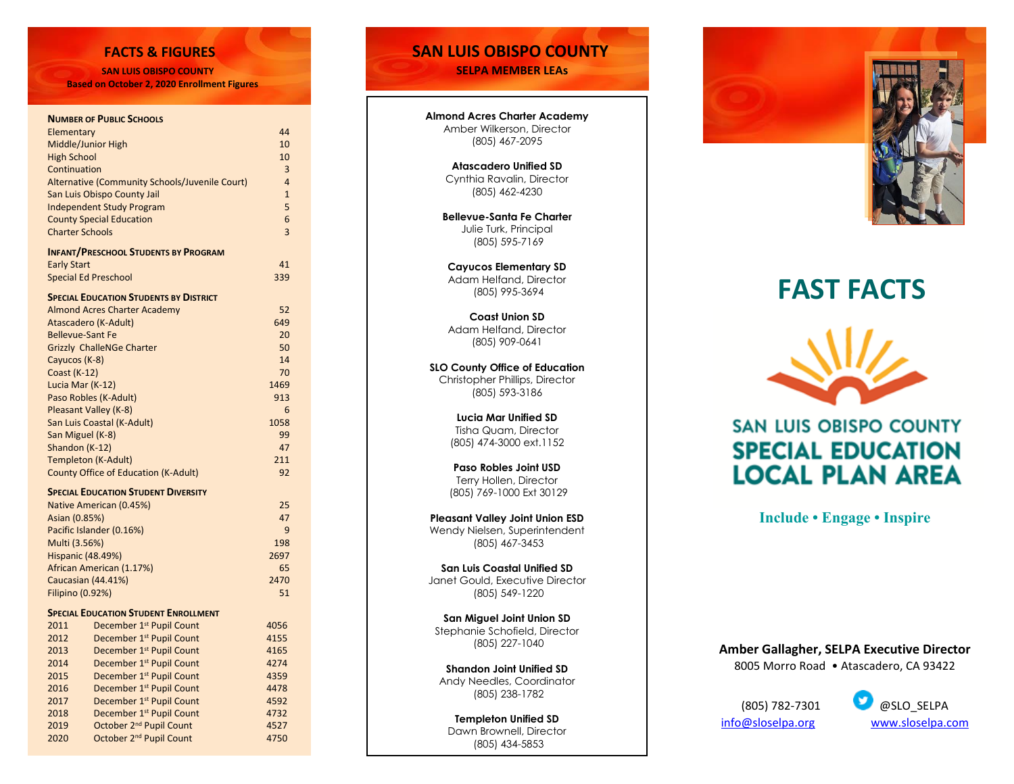**SAN LUIS OBISPO COUNTY SELPA MEMBER LEAs**

 **Based on October 2, 2020 Enrollment Figures**

### **NUMBER OF PUBLIC SCHOOLS**

Ī

| Elementary                                     |                                               | 44             |
|------------------------------------------------|-----------------------------------------------|----------------|
| Middle/Junior High                             |                                               | 10             |
| <b>High School</b>                             |                                               | 10             |
| Continuation                                   |                                               | 3              |
| Alternative (Community Schools/Juvenile Court) |                                               | $\overline{4}$ |
| San Luis Obispo County Jail                    |                                               | $\mathbf{1}$   |
| <b>Independent Study Program</b>               |                                               | 5              |
| <b>County Special Education</b>                |                                               | 6              |
| <b>Charter Schools</b>                         |                                               | $\overline{3}$ |
|                                                | <b>INFANT/PRESCHOOL STUDENTS BY PROGRAM</b>   |                |
| <b>Early Start</b>                             |                                               | 41             |
| <b>Special Ed Preschool</b>                    |                                               | 339            |
|                                                | <b>SPECIAL EDUCATION STUDENTS BY DISTRICT</b> |                |
| <b>Almond Acres Charter Academy</b>            | 52                                            |                |
| Atascadero (K-Adult)                           |                                               | 649            |
| <b>Bellevue-Sant Fe</b>                        |                                               | 20             |
| <b>Grizzly ChalleNGe Charter</b>               |                                               | 50             |
| Cayucos (K-8)                                  |                                               | 14             |
| <b>Coast (K-12)</b>                            |                                               | 70             |
| Lucia Mar (K-12)                               |                                               | 1469           |
|                                                |                                               | 913            |
| Paso Robles (K-Adult)<br>Pleasant Valley (K-8) |                                               | 6              |
| San Luis Coastal (K-Adult)                     |                                               | 1058           |
| San Miguel (K-8)                               |                                               | 99             |
| Shandon (K-12)                                 |                                               | 47             |
| <b>Templeton (K-Adult)</b>                     |                                               | 211            |
| <b>County Office of Education (K-Adult)</b>    |                                               | 92             |
|                                                |                                               |                |
| <b>SPECIAL EDUCATION STUDENT DIVERSITY</b>     |                                               |                |
| Native American (0.45%)                        |                                               | 25<br>47       |
| Asian (0.85%)                                  |                                               | 9              |
| Pacific Islander (0.16%)                       |                                               |                |
| Multi (3.56%)                                  |                                               | 198            |
| <b>Hispanic (48.49%)</b>                       |                                               | 2697           |
| African American (1.17%)<br>Caucasian (44.41%) |                                               | 65             |
|                                                |                                               | 2470           |
| <b>Filipino (0.92%)</b>                        |                                               | 51             |
|                                                | <b>SPECIAL EDUCATION STUDENT ENROLLMENT</b>   |                |
| 2011                                           | December 1st Pupil Count                      | 4056           |
| 2012                                           | December 1 <sup>st</sup> Pupil Count          | 4155           |
| 2013                                           | December 1 <sup>st</sup> Pupil Count          | 4165           |
| 2014                                           | December 1 <sup>st</sup> Pupil Count          | 4274           |
| 2015                                           | December 1 <sup>st</sup> Pupil Count          | 4359           |
| 2016                                           | December 1 <sup>st</sup> Pupil Count          | 4478           |
| 2017                                           | December 1 <sup>st</sup> Pupil Count          | 4592           |
| 2018                                           | December 1 <sup>st</sup> Pupil Count          | 4732           |
| 2019                                           | October 2 <sup>nd</sup> Pupil Count           | 4527           |
| 2020                                           | October 2 <sup>nd</sup> Pupil Count           | 4750           |
|                                                |                                               |                |

### **FACTS & FIGURES SAN LUIS OBISPO COUNTY**

**Almond Acres Charter Academy** Amber Wilkerson, Director (805) 467 -2095

> **Atascadero Unified SD** Cynthia Ravalin, Director (805) 462 -4230

**Bellevue -Santa Fe Charter** Julie Turk, Principal (805) 595 -7169

**Cayucos Elementary SD** Adam Helfand, Director (805) 995 -3694

**Coast Union SD** Adam Helfand, Director (805) 909 -0641

**SLO County Office of Education** Christopher Phillips, Director (805) 593 -3186

> **Lucia Mar Unified SD** Tisha Quam, Director (805) 474 -3000 ext.1152

**Paso Robles Joint USD** Terry Hollen, Director (805) 769 -1000 Ext 30129

**Pleasant Valley Joint Union ESD** Wendy Nielsen, Superintendent (805) 467 -3453

**San Luis Coastal Unified SD** Janet Gould, Executive Director (805) 549 -1220

**San Miguel Joint Union SD** Stephanie Schofield, Director (805) 227 -1040

**Shandon Joint Unified SD** Andy Needles, Coordinator (805) 238-1782

**Templeton Unified SD** Dawn Brownell, Director (805) 434 -5853





# **FAST FACTS**



## **SAN LUIS OBISPO COUNTY SPECIAL EDUCATION LOCAL PLAN AREA**

**Include • Engage • Inspire**

**Amber Gallagher, SELPA Executive Director**  8005 Morro Road • Atascadero, CA 93422

(805) 782